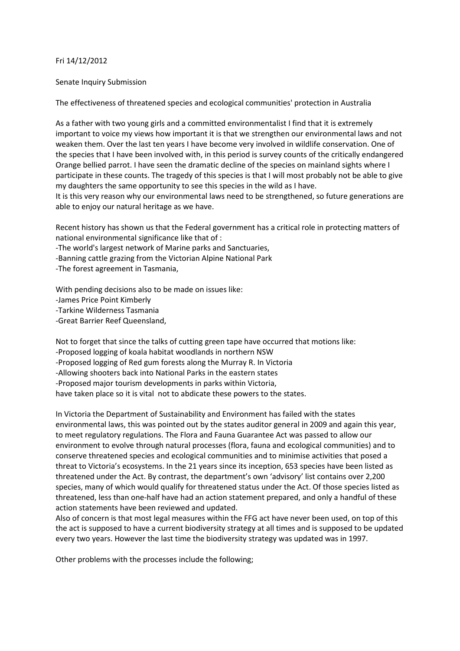## Fri 14/12/2012

## Senate Inquiry Submission

The effectiveness of threatened species and ecological communities' protection in Australia

As a father with two young girls and a committed environmentalist I find that it is extremely important to voice my views how important it is that we strengthen our environmental laws and not weaken them. Over the last ten years I have become very involved in wildlife conservation. One of the species that I have been involved with, in this period is survey counts of the critically endangered Orange bellied parrot. I have seen the dramatic decline of the species on mainland sights where I participate in these counts. The tragedy of this species is that I will most probably not be able to give my daughters the same opportunity to see this species in the wild as I have.

It is this very reason why our environmental laws need to be strengthened, so future generations are able to enjoy our natural heritage as we have.

Recent history has shown us that the Federal government has a critical role in protecting matters of national environmental significance like that of :

-The world's largest network of Marine parks and Sanctuaries,

- -Banning cattle grazing from the Victorian Alpine National Park
- -The forest agreement in Tasmania,

With pending decisions also to be made on issues like:

-James Price Point Kimberly

-Tarkine Wilderness Tasmania

-Great Barrier Reef Queensland,

Not to forget that since the talks of cutting green tape have occurred that motions like:

-Proposed logging of koala habitat woodlands in northern NSW

-Proposed logging of Red gum forests along the Murray R. In Victoria

-Allowing shooters back into National Parks in the eastern states

-Proposed major tourism developments in parks within Victoria,

have taken place so it is vital not to abdicate these powers to the states.

In Victoria the Department of Sustainability and Environment has failed with the states environmental laws, this was pointed out by the states auditor general in 2009 and again this year, to meet regulatory regulations. The Flora and Fauna Guarantee Act was passed to allow our environment to evolve through natural processes (flora, fauna and ecological communities) and to conserve threatened species and ecological communities and to minimise activities that posed a threat to Victoria's ecosystems. In the 21 years since its inception, 653 species have been listed as threatened under the Act. By contrast, the department's own 'advisory' list contains over 2,200 species, many of which would qualify for threatened status under the Act. Of those species listed as threatened, less than one-half have had an action statement prepared, and only a handful of these action statements have been reviewed and updated.

Also of concern is that most legal measures within the FFG act have never been used, on top of this the act is supposed to have a current biodiversity strategy at all times and is supposed to be updated every two years. However the last time the biodiversity strategy was updated was in 1997.

Other problems with the processes include the following;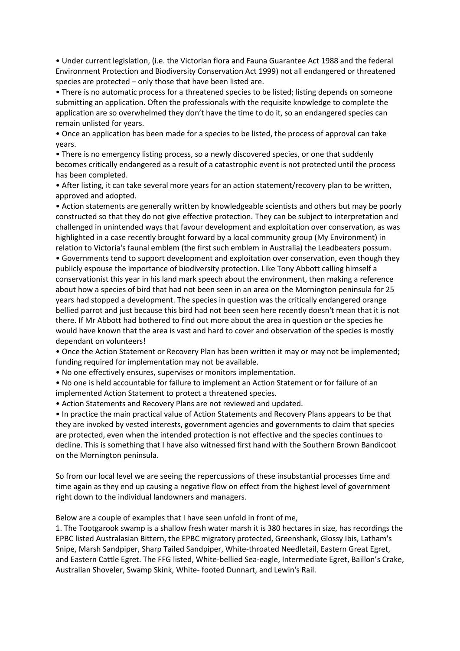• Under current legislation, (i.e. the Victorian flora and Fauna Guarantee Act 1988 and the federal Environment Protection and Biodiversity Conservation Act 1999) not all endangered or threatened species are protected – only those that have been listed are.

• There is no automatic process for a threatened species to be listed; listing depends on someone submitting an application. Often the professionals with the requisite knowledge to complete the application are so overwhelmed they don't have the time to do it, so an endangered species can remain unlisted for years.

• Once an application has been made for a species to be listed, the process of approval can take years.

• There is no emergency listing process, so a newly discovered species, or one that suddenly becomes critically endangered as a result of a catastrophic event is not protected until the process has been completed.

• After listing, it can take several more years for an action statement/recovery plan to be written, approved and adopted.

• Action statements are generally written by knowledgeable scientists and others but may be poorly constructed so that they do not give effective protection. They can be subject to interpretation and challenged in unintended ways that favour development and exploitation over conservation, as was highlighted in a case recently brought forward by a local community group (My Environment) in relation to Victoria's faunal emblem (the first such emblem in Australia) the Leadbeaters possum.

• Governments tend to support development and exploitation over conservation, even though they publicly espouse the importance of biodiversity protection. Like Tony Abbott calling himself a conservationist this year in his land mark speech about the environment, then making a reference about how a species of bird that had not been seen in an area on the Mornington peninsula for 25 years had stopped a development. The species in question was the critically endangered orange bellied parrot and just because this bird had not been seen here recently doesn't mean that it is not there. If Mr Abbott had bothered to find out more about the area in question or the species he would have known that the area is vast and hard to cover and observation of the species is mostly dependant on volunteers!

• Once the Action Statement or Recovery Plan has been written it may or may not be implemented; funding required for implementation may not be available.

• No one effectively ensures, supervises or monitors implementation.

• No one is held accountable for failure to implement an Action Statement or for failure of an implemented Action Statement to protect a threatened species.

• Action Statements and Recovery Plans are not reviewed and updated.

• In practice the main practical value of Action Statements and Recovery Plans appears to be that they are invoked by vested interests, government agencies and governments to claim that species are protected, even when the intended protection is not effective and the species continues to decline. This is something that I have also witnessed first hand with the Southern Brown Bandicoot on the Mornington peninsula.

So from our local level we are seeing the repercussions of these insubstantial processes time and time again as they end up causing a negative flow on effect from the highest level of government right down to the individual landowners and managers.

Below are a couple of examples that I have seen unfold in front of me,

1. The Tootgarook swamp is a shallow fresh water marsh it is 380 hectares in size, has recordings the EPBC listed Australasian Bittern, the EPBC migratory protected, Greenshank, Glossy Ibis, Latham's Snipe, Marsh Sandpiper, Sharp Tailed Sandpiper, White-throated Needletail, Eastern Great Egret, and Eastern Cattle Egret. The FFG listed, White-bellied Sea-eagle, Intermediate Egret, Baillon's Crake, Australian Shoveler, Swamp Skink, White- footed Dunnart, and Lewin's Rail.